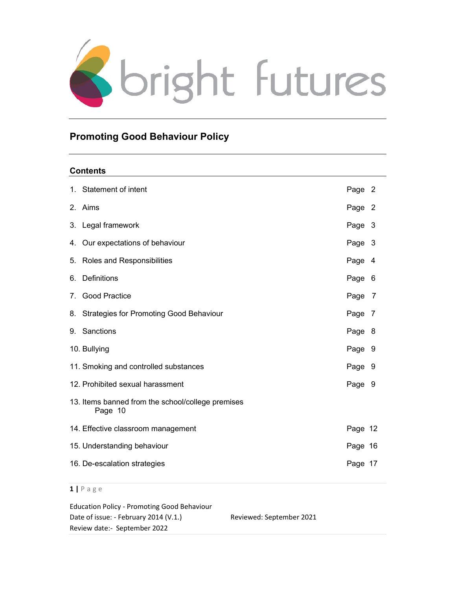

# Promoting Good Behaviour Policy

# **Contents**

| 1. Statement of intent                                       | Page 2  |  |
|--------------------------------------------------------------|---------|--|
| 2. Aims                                                      | Page 2  |  |
| 3. Legal framework                                           | Page 3  |  |
| 4. Our expectations of behaviour                             | Page 3  |  |
| 5. Roles and Responsibilities                                | Page 4  |  |
| 6. Definitions                                               | Page 6  |  |
| 7. Good Practice                                             | Page 7  |  |
| 8. Strategies for Promoting Good Behaviour                   | Page 7  |  |
| 9. Sanctions                                                 | Page 8  |  |
| 10. Bullying                                                 | Page 9  |  |
| 11. Smoking and controlled substances                        | Page 9  |  |
| 12. Prohibited sexual harassment                             | Page 9  |  |
| 13. Items banned from the school/college premises<br>Page 10 |         |  |
| 14. Effective classroom management                           | Page 12 |  |
| 15. Understanding behaviour                                  | Page 16 |  |
| 16. De-escalation strategies                                 | Page 17 |  |

 $1 | P$  a g e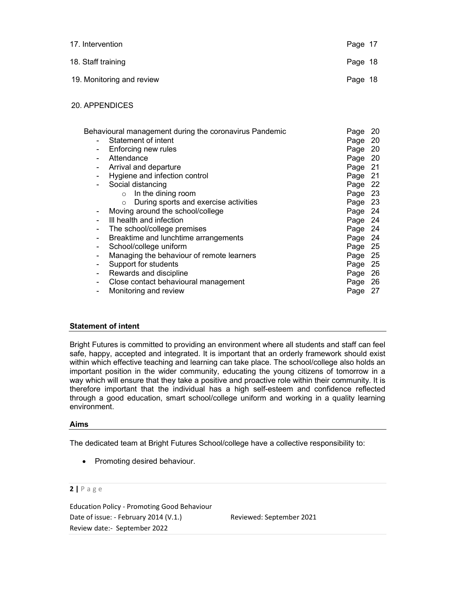| 17. Intervention          | Page 17 |  |
|---------------------------|---------|--|
| 18. Staff training        | Page 18 |  |
| 19. Monitoring and review | Page 18 |  |

## 20. APPENDICES

| Behavioural management during the coronavirus Pandemic |                                                  |              |    |
|--------------------------------------------------------|--------------------------------------------------|--------------|----|
|                                                        | Statement of intent                              | Page<br>Page | 20 |
| $\overline{\phantom{a}}$                               | Enforcing new rules                              | Page         | 20 |
| $\overline{\phantom{0}}$                               | Attendance                                       | Page 20      |    |
| -                                                      | Arrival and departure                            | Page 21      |    |
|                                                        | Hygiene and infection control                    | Page 21      |    |
|                                                        | Social distancing                                | Page 22      |    |
|                                                        | In the dining room<br>$\circ$                    | Page 23      |    |
|                                                        | During sports and exercise activities<br>$\circ$ | Page 23      |    |
|                                                        | Moving around the school/college                 | Page 24      |    |
|                                                        | III health and infection                         | Page 24      |    |
| -                                                      | The school/college premises                      | Page 24      |    |
| -                                                      | Breaktime and lunchtime arrangements             | Page 24      |    |
| -                                                      | School/college uniform                           | Page 25      |    |
| -                                                      | Managing the behaviour of remote learners        | Page 25      |    |
| -                                                      | Support for students                             | Page 25      |    |
|                                                        | Rewards and discipline                           | Page 26      |    |
|                                                        | Close contact behavioural management             | Page 26      |    |
|                                                        | Monitoring and review                            | Page         | 27 |

# Statement of intent

Bright Futures is committed to providing an environment where all students and staff can feel safe, happy, accepted and integrated. It is important that an orderly framework should exist within which effective teaching and learning can take place. The school/college also holds an important position in the wider community, educating the young citizens of tomorrow in a way which will ensure that they take a positive and proactive role within their community. It is therefore important that the individual has a high self-esteem and confidence reflected through a good education, smart school/college uniform and working in a quality learning environment.

#### Aims

The dedicated team at Bright Futures School/college have a collective responsibility to:

• Promoting desired behaviour.

## 2 | P a g e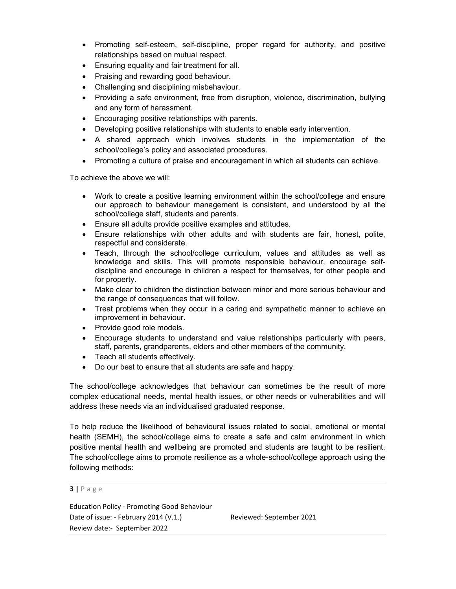- Promoting self-esteem, self-discipline, proper regard for authority, and positive relationships based on mutual respect.
- Ensuring equality and fair treatment for all.
- Praising and rewarding good behaviour.
- Challenging and disciplining misbehaviour.
- Providing a safe environment, free from disruption, violence, discrimination, bullying and any form of harassment.
- Encouraging positive relationships with parents.
- Developing positive relationships with students to enable early intervention.
- A shared approach which involves students in the implementation of the school/college's policy and associated procedures.
- Promoting a culture of praise and encouragement in which all students can achieve.

To achieve the above we will:

- Work to create a positive learning environment within the school/college and ensure our approach to behaviour management is consistent, and understood by all the school/college staff, students and parents.
- Ensure all adults provide positive examples and attitudes.
- Ensure relationships with other adults and with students are fair, honest, polite, respectful and considerate.
- Teach, through the school/college curriculum, values and attitudes as well as knowledge and skills. This will promote responsible behaviour, encourage selfdiscipline and encourage in children a respect for themselves, for other people and for property.
- Make clear to children the distinction between minor and more serious behaviour and the range of consequences that will follow.
- Treat problems when they occur in a caring and sympathetic manner to achieve an improvement in behaviour.
- Provide good role models.
- Encourage students to understand and value relationships particularly with peers, staff, parents, grandparents, elders and other members of the community.
- Teach all students effectively.
- Do our best to ensure that all students are safe and happy.

The school/college acknowledges that behaviour can sometimes be the result of more complex educational needs, mental health issues, or other needs or vulnerabilities and will address these needs via an individualised graduated response.

To help reduce the likelihood of behavioural issues related to social, emotional or mental health (SEMH), the school/college aims to create a safe and calm environment in which positive mental health and wellbeing are promoted and students are taught to be resilient. The school/college aims to promote resilience as a whole-school/college approach using the following methods:

 $3 | P \text{ age}$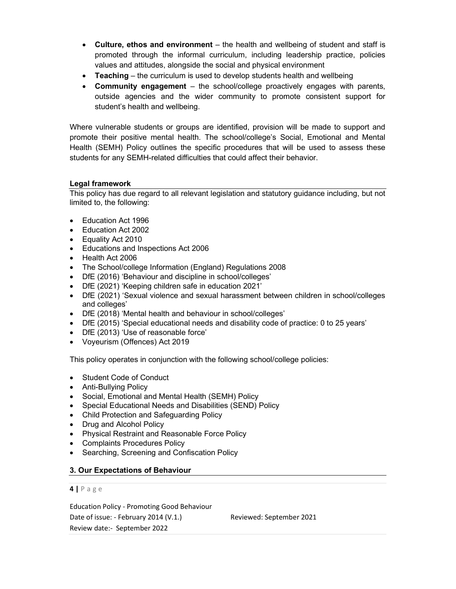- Culture, ethos and environment the health and wellbeing of student and staff is promoted through the informal curriculum, including leadership practice, policies values and attitudes, alongside the social and physical environment
- Teaching the curriculum is used to develop students health and wellbeing
- Community engagement the school/college proactively engages with parents, outside agencies and the wider community to promote consistent support for student's health and wellbeing.

Where vulnerable students or groups are identified, provision will be made to support and promote their positive mental health. The school/college's Social, Emotional and Mental Health (SEMH) Policy outlines the specific procedures that will be used to assess these students for any SEMH-related difficulties that could affect their behavior.

# Legal framework

This policy has due regard to all relevant legislation and statutory guidance including, but not limited to, the following:

- Education Act 1996
- Education Act 2002
- Equality Act 2010
- Educations and Inspections Act 2006
- Health Act 2006
- The School/college Information (England) Regulations 2008
- DfE (2016) 'Behaviour and discipline in school/colleges'
- DfE (2021) 'Keeping children safe in education 2021'
- DfE (2021) 'Sexual violence and sexual harassment between children in school/colleges and colleges'
- DfE (2018) 'Mental health and behaviour in school/colleges'
- DfE (2015) 'Special educational needs and disability code of practice: 0 to 25 years'
- DfE (2013) 'Use of reasonable force'
- Voyeurism (Offences) Act 2019

This policy operates in conjunction with the following school/college policies:

- Student Code of Conduct
- Anti-Bullying Policy
- Social, Emotional and Mental Health (SEMH) Policy
- Special Educational Needs and Disabilities (SEND) Policy
- Child Protection and Safeguarding Policy
- Drug and Alcohol Policy
- Physical Restraint and Reasonable Force Policy
- Complaints Procedures Policy
- Searching, Screening and Confiscation Policy

# 3. Our Expectations of Behaviour

#### $4$  | P a g e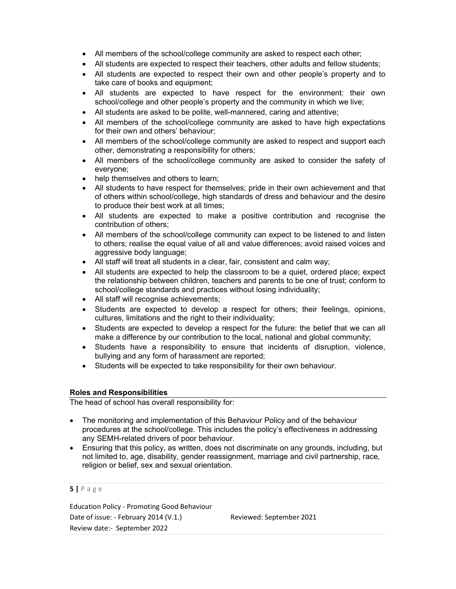- All members of the school/college community are asked to respect each other;
- All students are expected to respect their teachers, other adults and fellow students;
- All students are expected to respect their own and other people's property and to take care of books and equipment;
- All students are expected to have respect for the environment: their own school/college and other people's property and the community in which we live;
- All students are asked to be polite, well-mannered, caring and attentive;
- All members of the school/college community are asked to have high expectations for their own and others' behaviour;
- All members of the school/college community are asked to respect and support each other, demonstrating a responsibility for others;
- All members of the school/college community are asked to consider the safety of everyone;
- help themselves and others to learn:
- All students to have respect for themselves; pride in their own achievement and that of others within school/college, high standards of dress and behaviour and the desire to produce their best work at all times;
- All students are expected to make a positive contribution and recognise the contribution of others;
- All members of the school/college community can expect to be listened to and listen to others; realise the equal value of all and value differences; avoid raised voices and aggressive body language;
- All staff will treat all students in a clear, fair, consistent and calm way;
- All students are expected to help the classroom to be a quiet, ordered place; expect the relationship between children, teachers and parents to be one of trust; conform to school/college standards and practices without losing individuality;
- All staff will recognise achievements;
- Students are expected to develop a respect for others; their feelings, opinions, cultures, limitations and the right to their individuality;
- Students are expected to develop a respect for the future: the belief that we can all make a difference by our contribution to the local, national and global community;
- Students have a responsibility to ensure that incidents of disruption, violence, bullying and any form of harassment are reported;
- Students will be expected to take responsibility for their own behaviour.

#### Roles and Responsibilities

The head of school has overall responsibility for:

- The monitoring and implementation of this Behaviour Policy and of the behaviour procedures at the school/college. This includes the policy's effectiveness in addressing any SEMH-related drivers of poor behaviour.
- Ensuring that this policy, as written, does not discriminate on any grounds, including, but not limited to, age, disability, gender reassignment, marriage and civil partnership, race, religion or belief, sex and sexual orientation.

#### $5$  | P a g e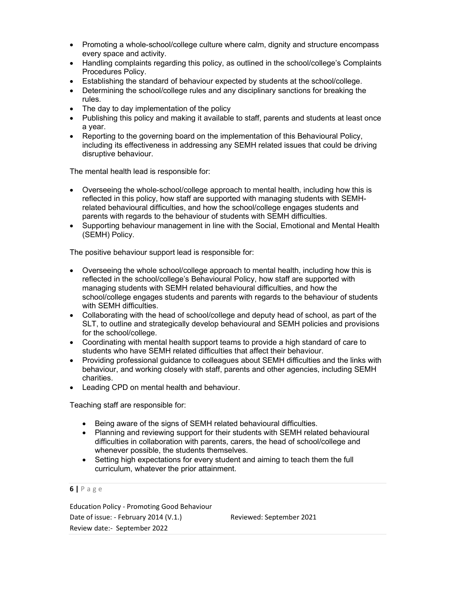- Promoting a whole-school/college culture where calm, dignity and structure encompass every space and activity.
- Handling complaints regarding this policy, as outlined in the school/college's Complaints Procedures Policy.
- Establishing the standard of behaviour expected by students at the school/college.
- Determining the school/college rules and any disciplinary sanctions for breaking the rules.
- The day to day implementation of the policy
- Publishing this policy and making it available to staff, parents and students at least once a year.
- Reporting to the governing board on the implementation of this Behavioural Policy, including its effectiveness in addressing any SEMH related issues that could be driving disruptive behaviour.

The mental health lead is responsible for:

- Overseeing the whole-school/college approach to mental health, including how this is reflected in this policy, how staff are supported with managing students with SEMHrelated behavioural difficulties, and how the school/college engages students and parents with regards to the behaviour of students with SEMH difficulties.
- Supporting behaviour management in line with the Social, Emotional and Mental Health (SEMH) Policy.

The positive behaviour support lead is responsible for:

- Overseeing the whole school/college approach to mental health, including how this is reflected in the school/college's Behavioural Policy, how staff are supported with managing students with SEMH related behavioural difficulties, and how the school/college engages students and parents with regards to the behaviour of students with SEMH difficulties.
- Collaborating with the head of school/college and deputy head of school, as part of the SLT, to outline and strategically develop behavioural and SEMH policies and provisions for the school/college.
- Coordinating with mental health support teams to provide a high standard of care to students who have SEMH related difficulties that affect their behaviour.
- Providing professional guidance to colleagues about SEMH difficulties and the links with behaviour, and working closely with staff, parents and other agencies, including SEMH charities.
- Leading CPD on mental health and behaviour.

Teaching staff are responsible for:

- Being aware of the signs of SEMH related behavioural difficulties.
- Planning and reviewing support for their students with SEMH related behavioural difficulties in collaboration with parents, carers, the head of school/college and whenever possible, the students themselves.
- Setting high expectations for every student and aiming to teach them the full curriculum, whatever the prior attainment.

 $6$  | P a g e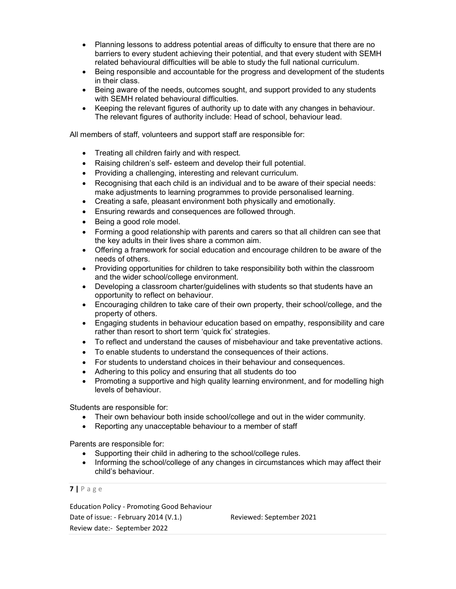- Planning lessons to address potential areas of difficulty to ensure that there are no barriers to every student achieving their potential, and that every student with SEMH related behavioural difficulties will be able to study the full national curriculum.
- Being responsible and accountable for the progress and development of the students in their class.
- Being aware of the needs, outcomes sought, and support provided to any students with SEMH related behavioural difficulties.
- Keeping the relevant figures of authority up to date with any changes in behaviour. The relevant figures of authority include: Head of school, behaviour lead.

All members of staff, volunteers and support staff are responsible for:

- Treating all children fairly and with respect.
- Raising children's self- esteem and develop their full potential.
- Providing a challenging, interesting and relevant curriculum.
- Recognising that each child is an individual and to be aware of their special needs: make adjustments to learning programmes to provide personalised learning.
- Creating a safe, pleasant environment both physically and emotionally.
- Ensuring rewards and consequences are followed through.
- Being a good role model.
- Forming a good relationship with parents and carers so that all children can see that the key adults in their lives share a common aim.
- Offering a framework for social education and encourage children to be aware of the needs of others.
- Providing opportunities for children to take responsibility both within the classroom and the wider school/college environment.
- Developing a classroom charter/guidelines with students so that students have an opportunity to reflect on behaviour.
- Encouraging children to take care of their own property, their school/college, and the property of others.
- Engaging students in behaviour education based on empathy, responsibility and care rather than resort to short term 'quick fix' strategies.
- To reflect and understand the causes of misbehaviour and take preventative actions.
- To enable students to understand the consequences of their actions.
- For students to understand choices in their behaviour and consequences.
- Adhering to this policy and ensuring that all students do too
- Promoting a supportive and high quality learning environment, and for modelling high levels of behaviour.

Students are responsible for:

- Their own behaviour both inside school/college and out in the wider community.
- Reporting any unacceptable behaviour to a member of staff

Parents are responsible for:

- Supporting their child in adhering to the school/college rules.
- Informing the school/college of any changes in circumstances which may affect their child's behaviour.

 $7$  | P a g e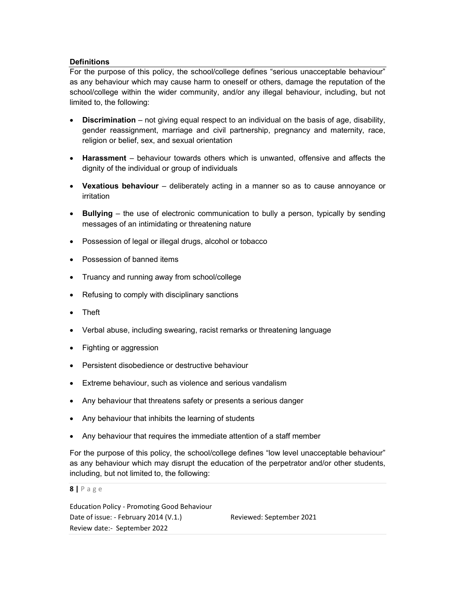# Definitions

For the purpose of this policy, the school/college defines "serious unacceptable behaviour" as any behaviour which may cause harm to oneself or others, damage the reputation of the school/college within the wider community, and/or any illegal behaviour, including, but not limited to, the following:

- Discrimination not giving equal respect to an individual on the basis of age, disability, gender reassignment, marriage and civil partnership, pregnancy and maternity, race, religion or belief, sex, and sexual orientation
- Harassment behaviour towards others which is unwanted, offensive and affects the dignity of the individual or group of individuals
- Vexatious behaviour deliberately acting in a manner so as to cause annoyance or irritation
- Bullying the use of electronic communication to bully a person, typically by sending messages of an intimidating or threatening nature
- Possession of legal or illegal drugs, alcohol or tobacco
- Possession of banned items
- Truancy and running away from school/college
- Refusing to comply with disciplinary sanctions
- Theft
- Verbal abuse, including swearing, racist remarks or threatening language
- Fighting or aggression
- Persistent disobedience or destructive behaviour
- Extreme behaviour, such as violence and serious vandalism
- Any behaviour that threatens safety or presents a serious danger
- Any behaviour that inhibits the learning of students
- Any behaviour that requires the immediate attention of a staff member

For the purpose of this policy, the school/college defines "low level unacceptable behaviour" as any behaviour which may disrupt the education of the perpetrator and/or other students, including, but not limited to, the following:

 $8$  | P a g e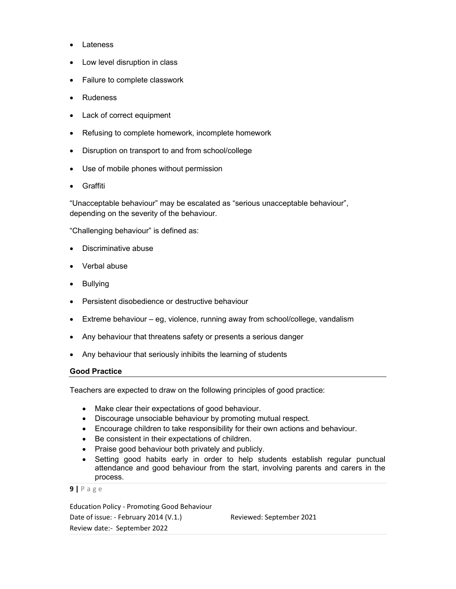- Lateness
- Low level disruption in class
- Failure to complete classwork
- Rudeness
- Lack of correct equipment
- Refusing to complete homework, incomplete homework
- Disruption on transport to and from school/college
- Use of mobile phones without permission
- Graffiti

"Unacceptable behaviour" may be escalated as "serious unacceptable behaviour", depending on the severity of the behaviour.

"Challenging behaviour" is defined as:

- Discriminative abuse
- Verbal abuse
- Bullying
- **•** Persistent disobedience or destructive behaviour
- Extreme behaviour eg, violence, running away from school/college, vandalism
- Any behaviour that threatens safety or presents a serious danger
- Any behaviour that seriously inhibits the learning of students

#### Good Practice

Teachers are expected to draw on the following principles of good practice:

- Make clear their expectations of good behaviour.
- Discourage unsociable behaviour by promoting mutual respect.
- Encourage children to take responsibility for their own actions and behaviour.
- Be consistent in their expectations of children.
- Praise good behaviour both privately and publicly.
- Setting good habits early in order to help students establish regular punctual attendance and good behaviour from the start, involving parents and carers in the process.

```
9 | P a g e
```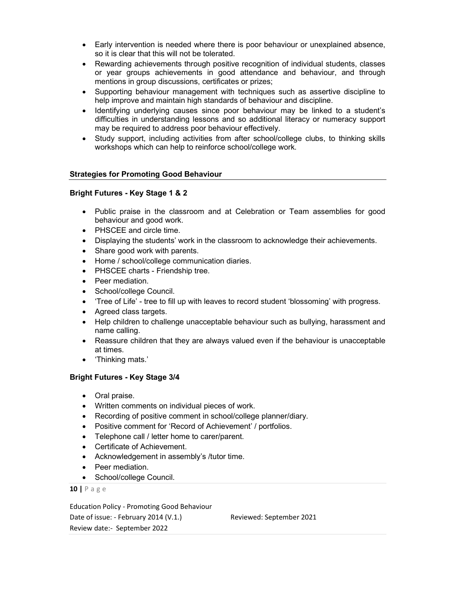- Early intervention is needed where there is poor behaviour or unexplained absence, so it is clear that this will not be tolerated.
- Rewarding achievements through positive recognition of individual students, classes or year groups achievements in good attendance and behaviour, and through mentions in group discussions, certificates or prizes;
- Supporting behaviour management with techniques such as assertive discipline to help improve and maintain high standards of behaviour and discipline.
- Identifying underlying causes since poor behaviour may be linked to a student's difficulties in understanding lessons and so additional literacy or numeracy support may be required to address poor behaviour effectively.
- Study support, including activities from after school/college clubs, to thinking skills workshops which can help to reinforce school/college work.

# Strategies for Promoting Good Behaviour

# Bright Futures - Key Stage 1 & 2

- Public praise in the classroom and at Celebration or Team assemblies for good behaviour and good work.
- PHSCEE and circle time.
- Displaying the students' work in the classroom to acknowledge their achievements.
- Share good work with parents.
- Home / school/college communication diaries.
- PHSCEE charts Friendship tree.
- Peer mediation.
- School/college Council.
- 'Tree of Life' tree to fill up with leaves to record student 'blossoming' with progress.
- Agreed class targets.
- Help children to challenge unacceptable behaviour such as bullying, harassment and name calling.
- Reassure children that they are always valued even if the behaviour is unacceptable at times.
- 'Thinking mats.'

# Bright Futures - Key Stage 3/4

- Oral praise.
- Written comments on individual pieces of work.
- Recording of positive comment in school/college planner/diary.
- Positive comment for 'Record of Achievement' / portfolios.
- Telephone call / letter home to carer/parent.
- Certificate of Achievement.
- Acknowledgement in assembly's /tutor time.
- Peer mediation.
- School/college Council.

10 | P a g e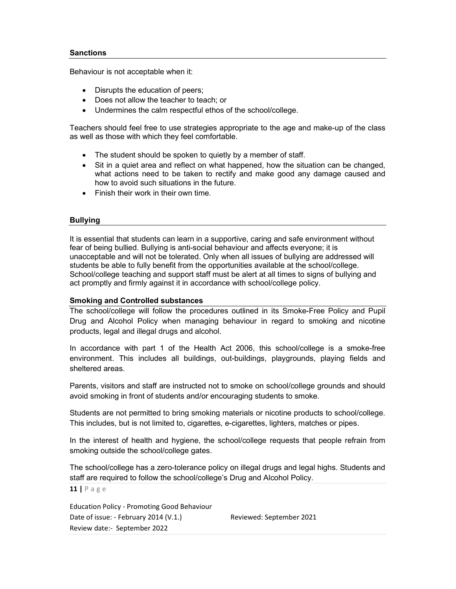## **Sanctions**

Behaviour is not acceptable when it:

- Disrupts the education of peers;
- Does not allow the teacher to teach: or
- Undermines the calm respectful ethos of the school/college.

Teachers should feel free to use strategies appropriate to the age and make-up of the class as well as those with which they feel comfortable.

- The student should be spoken to quietly by a member of staff.
- Sit in a quiet area and reflect on what happened, how the situation can be changed, what actions need to be taken to rectify and make good any damage caused and how to avoid such situations in the future.
- Finish their work in their own time.

# Bullying

It is essential that students can learn in a supportive, caring and safe environment without fear of being bullied. Bullying is anti-social behaviour and affects everyone; it is unacceptable and will not be tolerated. Only when all issues of bullying are addressed will students be able to fully benefit from the opportunities available at the school/college. School/college teaching and support staff must be alert at all times to signs of bullying and act promptly and firmly against it in accordance with school/college policy.

# Smoking and Controlled substances

The school/college will follow the procedures outlined in its Smoke-Free Policy and Pupil Drug and Alcohol Policy when managing behaviour in regard to smoking and nicotine products, legal and illegal drugs and alcohol.

In accordance with part 1 of the Health Act 2006, this school/college is a smoke-free environment. This includes all buildings, out-buildings, playgrounds, playing fields and sheltered areas.

Parents, visitors and staff are instructed not to smoke on school/college grounds and should avoid smoking in front of students and/or encouraging students to smoke.

Students are not permitted to bring smoking materials or nicotine products to school/college. This includes, but is not limited to, cigarettes, e-cigarettes, lighters, matches or pipes.

In the interest of health and hygiene, the school/college requests that people refrain from smoking outside the school/college gates.

The school/college has a zero-tolerance policy on illegal drugs and legal highs. Students and staff are required to follow the school/college's Drug and Alcohol Policy.

11 | P a g e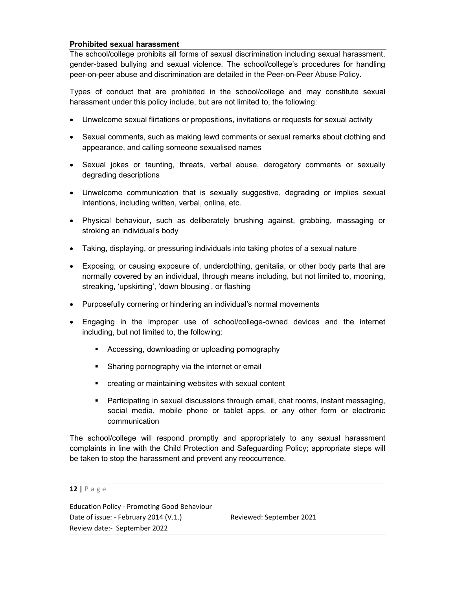# Prohibited sexual harassment

The school/college prohibits all forms of sexual discrimination including sexual harassment, gender-based bullying and sexual violence. The school/college's procedures for handling peer-on-peer abuse and discrimination are detailed in the Peer-on-Peer Abuse Policy.

Types of conduct that are prohibited in the school/college and may constitute sexual harassment under this policy include, but are not limited to, the following:

- Unwelcome sexual flirtations or propositions, invitations or requests for sexual activity
- Sexual comments, such as making lewd comments or sexual remarks about clothing and appearance, and calling someone sexualised names
- Sexual jokes or taunting, threats, verbal abuse, derogatory comments or sexually degrading descriptions
- Unwelcome communication that is sexually suggestive, degrading or implies sexual intentions, including written, verbal, online, etc.
- Physical behaviour, such as deliberately brushing against, grabbing, massaging or stroking an individual's body
- Taking, displaying, or pressuring individuals into taking photos of a sexual nature
- Exposing, or causing exposure of, underclothing, genitalia, or other body parts that are normally covered by an individual, through means including, but not limited to, mooning, streaking, 'upskirting', 'down blousing', or flashing
- Purposefully cornering or hindering an individual's normal movements
- Engaging in the improper use of school/college-owned devices and the internet including, but not limited to, the following:
	- Accessing, downloading or uploading pornography
	- Sharing pornography via the internet or email
	- creating or maintaining websites with sexual content
	- Participating in sexual discussions through email, chat rooms, instant messaging, social media, mobile phone or tablet apps, or any other form or electronic communication

The school/college will respond promptly and appropriately to any sexual harassment complaints in line with the Child Protection and Safeguarding Policy; appropriate steps will be taken to stop the harassment and prevent any reoccurrence.

12 | P a g e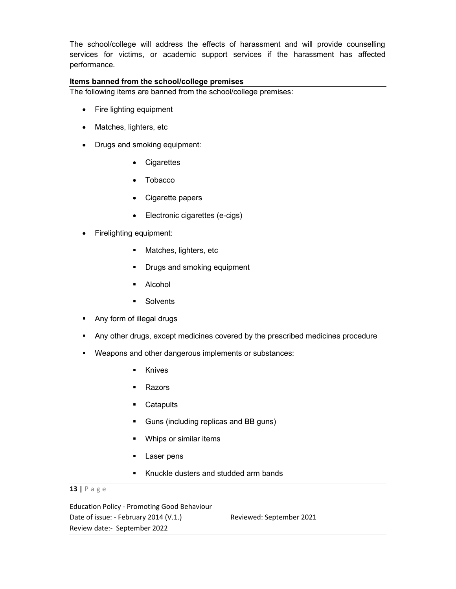The school/college will address the effects of harassment and will provide counselling services for victims, or academic support services if the harassment has affected performance.

# Items banned from the school/college premises

The following items are banned from the school/college premises:

- Fire lighting equipment
- Matches, lighters, etc
- Drugs and smoking equipment:
	- Cigarettes
	- Tobacco
	- Cigarette papers
	- Electronic cigarettes (e-cigs)
- Firelighting equipment:
	- **Matches, lighters, etc.**
	- **Drugs and smoking equipment**
	- Alcohol
	- **Solvents**
- Any form of illegal drugs
- Any other drugs, except medicines covered by the prescribed medicines procedure
- Weapons and other dangerous implements or substances:
	- **Knives**
	- Razors
	- **Catapults**
	- Guns (including replicas and BB guns)
	- **•** Whips or similar items
	- **Laser pens**
	- Knuckle dusters and studded arm bands

# 13 | P a g e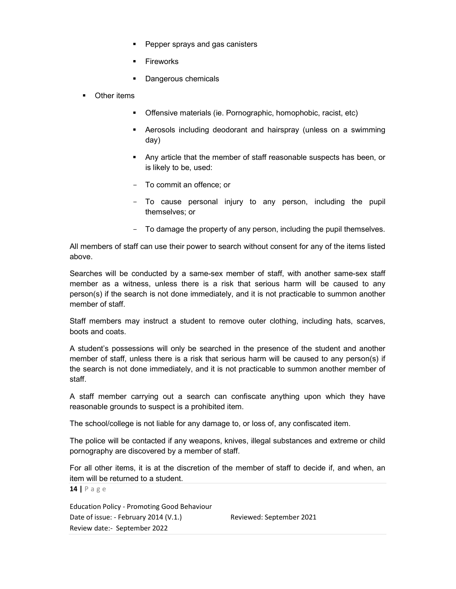- Pepper sprays and gas canisters
- Fireworks
- Dangerous chemicals
- Other items
	- Offensive materials (ie. Pornographic, homophobic, racist, etc)
	- Aerosols including deodorant and hairspray (unless on a swimming day)
	- Any article that the member of staff reasonable suspects has been, or is likely to be, used:
	- To commit an offence; or
	- To cause personal injury to any person, including the pupil themselves; or
	- To damage the property of any person, including the pupil themselves.

All members of staff can use their power to search without consent for any of the items listed above.

Searches will be conducted by a same-sex member of staff, with another same-sex staff member as a witness, unless there is a risk that serious harm will be caused to any person(s) if the search is not done immediately, and it is not practicable to summon another member of staff.

Staff members may instruct a student to remove outer clothing, including hats, scarves, boots and coats.

A student's possessions will only be searched in the presence of the student and another member of staff, unless there is a risk that serious harm will be caused to any person(s) if the search is not done immediately, and it is not practicable to summon another member of staff.

A staff member carrying out a search can confiscate anything upon which they have reasonable grounds to suspect is a prohibited item.

The school/college is not liable for any damage to, or loss of, any confiscated item.

The police will be contacted if any weapons, knives, illegal substances and extreme or child pornography are discovered by a member of staff.

For all other items, it is at the discretion of the member of staff to decide if, and when, an item will be returned to a student.

14 | P a g e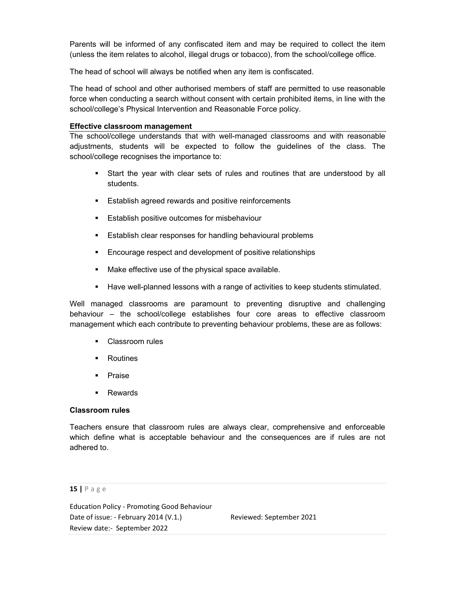Parents will be informed of any confiscated item and may be required to collect the item (unless the item relates to alcohol, illegal drugs or tobacco), from the school/college office.

The head of school will always be notified when any item is confiscated.

The head of school and other authorised members of staff are permitted to use reasonable force when conducting a search without consent with certain prohibited items, in line with the school/college's Physical Intervention and Reasonable Force policy.

#### Effective classroom management

The school/college understands that with well-managed classrooms and with reasonable adjustments, students will be expected to follow the guidelines of the class. The school/college recognises the importance to:

- Start the year with clear sets of rules and routines that are understood by all students.
- **Establish agreed rewards and positive reinforcements**
- **Establish positive outcomes for misbehaviour**
- Establish clear responses for handling behavioural problems
- **Encourage respect and development of positive relationships**
- Make effective use of the physical space available.
- Have well-planned lessons with a range of activities to keep students stimulated.

Well managed classrooms are paramount to preventing disruptive and challenging behaviour – the school/college establishes four core areas to effective classroom management which each contribute to preventing behaviour problems, these are as follows:

- **Classroom rules**
- **EXECUTE:**
- **Praise**
- **Rewards**

#### Classroom rules

Teachers ensure that classroom rules are always clear, comprehensive and enforceable which define what is acceptable behaviour and the consequences are if rules are not adhered to.

#### 15 | P a g e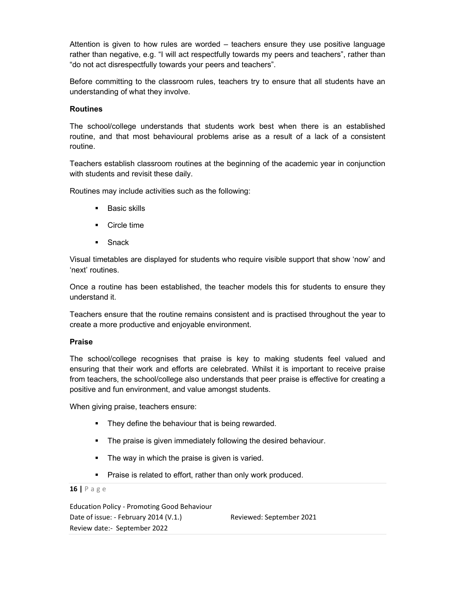Attention is given to how rules are worded – teachers ensure they use positive language rather than negative, e.g. "I will act respectfully towards my peers and teachers", rather than "do not act disrespectfully towards your peers and teachers".

Before committing to the classroom rules, teachers try to ensure that all students have an understanding of what they involve.

# **Routines**

The school/college understands that students work best when there is an established routine, and that most behavioural problems arise as a result of a lack of a consistent routine.

Teachers establish classroom routines at the beginning of the academic year in conjunction with students and revisit these daily.

Routines may include activities such as the following:

- **Basic skills**
- **Circle time**
- **Snack**

Visual timetables are displayed for students who require visible support that show 'now' and 'next' routines.

Once a routine has been established, the teacher models this for students to ensure they understand it.

Teachers ensure that the routine remains consistent and is practised throughout the year to create a more productive and enjoyable environment.

# Praise

The school/college recognises that praise is key to making students feel valued and ensuring that their work and efforts are celebrated. Whilst it is important to receive praise from teachers, the school/college also understands that peer praise is effective for creating a positive and fun environment, and value amongst students.

When giving praise, teachers ensure:

- **They define the behaviour that is being rewarded.**
- **The praise is given immediately following the desired behaviour.**
- The way in which the praise is given is varied.
- **Praise is related to effort, rather than only work produced.**

## 16 | P a g e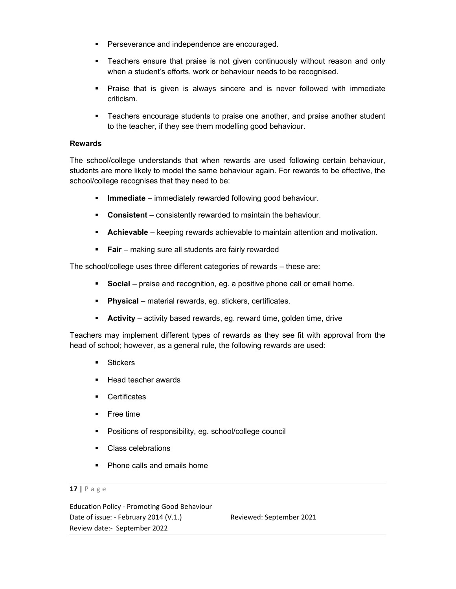- **Perseverance and independence are encouraged.**
- Teachers ensure that praise is not given continuously without reason and only when a student's efforts, work or behaviour needs to be recognised.
- Praise that is given is always sincere and is never followed with immediate criticism.
- Teachers encourage students to praise one another, and praise another student to the teacher, if they see them modelling good behaviour.

# Rewards

The school/college understands that when rewards are used following certain behaviour, students are more likely to model the same behaviour again. For rewards to be effective, the school/college recognises that they need to be:

- **Immediate** immediately rewarded following good behaviour.
- **Consistent** consistently rewarded to maintain the behaviour.
- **Achievable** keeping rewards achievable to maintain attention and motivation.
- **Fair** making sure all students are fairly rewarded

The school/college uses three different categories of rewards – these are:

- **Social** praise and recognition, eg. a positive phone call or email home.
- **Physical** material rewards, eq. stickers, certificates.
- Activity activity based rewards, eg. reward time, golden time, drive

Teachers may implement different types of rewards as they see fit with approval from the head of school; however, as a general rule, the following rewards are used:

- **Stickers**
- Head teacher awards
- **Certificates**
- **Free time**
- Positions of responsibility, eg. school/college council
- Class celebrations
- Phone calls and emails home

## 17 | P a g e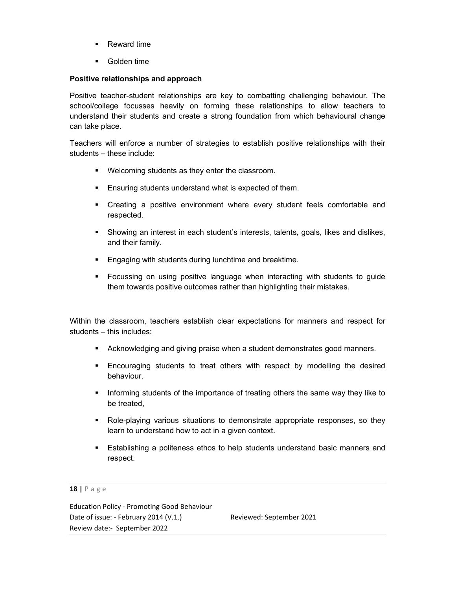- **Reward time**
- **Golden time**

# Positive relationships and approach

Positive teacher-student relationships are key to combatting challenging behaviour. The school/college focusses heavily on forming these relationships to allow teachers to understand their students and create a strong foundation from which behavioural change can take place.

Teachers will enforce a number of strategies to establish positive relationships with their students – these include:

- Welcoming students as they enter the classroom.
- **Ensuring students understand what is expected of them.**
- Creating a positive environment where every student feels comfortable and respected.
- Showing an interest in each student's interests, talents, goals, likes and dislikes, and their family.
- **Engaging with students during lunchtime and breaktime.**
- Focussing on using positive language when interacting with students to guide them towards positive outcomes rather than highlighting their mistakes.

Within the classroom, teachers establish clear expectations for manners and respect for students – this includes:

- Acknowledging and giving praise when a student demonstrates good manners.
- Encouraging students to treat others with respect by modelling the desired behaviour.
- Informing students of the importance of treating others the same way they like to be treated,
- Role-playing various situations to demonstrate appropriate responses, so they learn to understand how to act in a given context.
- Establishing a politeness ethos to help students understand basic manners and respect.

#### 18 | P a g e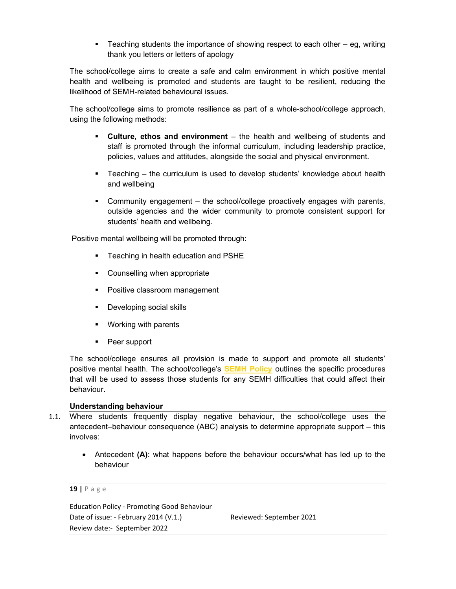**Teaching students the importance of showing respect to each other – eg, writing** thank you letters or letters of apology

The school/college aims to create a safe and calm environment in which positive mental health and wellbeing is promoted and students are taught to be resilient, reducing the likelihood of SEMH-related behavioural issues.

The school/college aims to promote resilience as part of a whole-school/college approach, using the following methods:

- Culture, ethos and environment the health and wellbeing of students and staff is promoted through the informal curriculum, including leadership practice, policies, values and attitudes, alongside the social and physical environment.
- Teaching the curriculum is used to develop students' knowledge about health and wellbeing
- Community engagement the school/college proactively engages with parents, outside agencies and the wider community to promote consistent support for students' health and wellbeing.

Positive mental wellbeing will be promoted through:

- Teaching in health education and PSHE
- Counselling when appropriate
- Positive classroom management
- **Developing social skills**
- Working with parents
- **Peer support**

The school/college ensures all provision is made to support and promote all students' positive mental health. The school/college's **SEMH Policy** outlines the specific procedures that will be used to assess those students for any SEMH difficulties that could affect their behaviour.

# Understanding behaviour

- 1.1. Where students frequently display negative behaviour, the school/college uses the antecedent–behaviour consequence (ABC) analysis to determine appropriate support – this involves:
	- Antecedent (A): what happens before the behaviour occurs/what has led up to the behaviour

## 19 | P a g e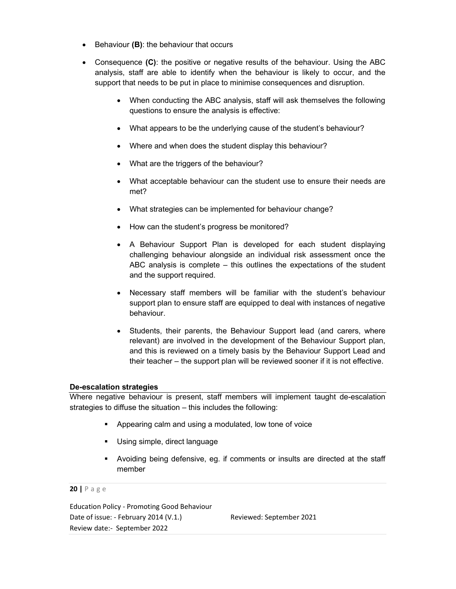- **Behaviour (B): the behaviour that occurs**
- Consequence (C): the positive or negative results of the behaviour. Using the ABC analysis, staff are able to identify when the behaviour is likely to occur, and the support that needs to be put in place to minimise consequences and disruption.
	- When conducting the ABC analysis, staff will ask themselves the following questions to ensure the analysis is effective:
	- What appears to be the underlying cause of the student's behaviour?
	- Where and when does the student display this behaviour?
	- What are the triggers of the behaviour?
	- What acceptable behaviour can the student use to ensure their needs are met?
	- What strategies can be implemented for behaviour change?
	- How can the student's progress be monitored?
	- A Behaviour Support Plan is developed for each student displaying challenging behaviour alongside an individual risk assessment once the ABC analysis is complete – this outlines the expectations of the student and the support required.
	- Necessary staff members will be familiar with the student's behaviour support plan to ensure staff are equipped to deal with instances of negative behaviour.
	- Students, their parents, the Behaviour Support lead (and carers, where relevant) are involved in the development of the Behaviour Support plan, and this is reviewed on a timely basis by the Behaviour Support Lead and their teacher – the support plan will be reviewed sooner if it is not effective.

# De-escalation strategies

Where negative behaviour is present, staff members will implement taught de-escalation strategies to diffuse the situation – this includes the following:

- **Appearing calm and using a modulated, low tone of voice**
- Using simple, direct language
- Avoiding being defensive, eg. if comments or insults are directed at the staff member

#### 20 | P a g e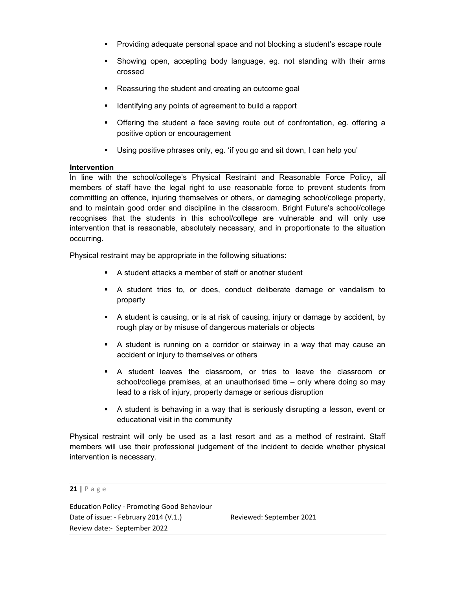- **Providing adequate personal space and not blocking a student's escape route**
- Showing open, accepting body language, eg. not standing with their arms crossed
- **Reassuring the student and creating an outcome goal**
- **If identifying any points of agreement to build a rapport**
- Offering the student a face saving route out of confrontation, eg. offering a positive option or encouragement
- Using positive phrases only, eg. 'if you go and sit down, I can help you'

# Intervention

In line with the school/college's Physical Restraint and Reasonable Force Policy, all members of staff have the legal right to use reasonable force to prevent students from committing an offence, injuring themselves or others, or damaging school/college property, and to maintain good order and discipline in the classroom. Bright Future's school/college recognises that the students in this school/college are vulnerable and will only use intervention that is reasonable, absolutely necessary, and in proportionate to the situation occurring.

Physical restraint may be appropriate in the following situations:

- A student attacks a member of staff or another student
- A student tries to, or does, conduct deliberate damage or vandalism to property
- A student is causing, or is at risk of causing, injury or damage by accident, by rough play or by misuse of dangerous materials or objects
- A student is running on a corridor or stairway in a way that may cause an accident or injury to themselves or others
- A student leaves the classroom, or tries to leave the classroom or school/college premises, at an unauthorised time – only where doing so may lead to a risk of injury, property damage or serious disruption
- A student is behaving in a way that is seriously disrupting a lesson, event or educational visit in the community

Physical restraint will only be used as a last resort and as a method of restraint. Staff members will use their professional judgement of the incident to decide whether physical intervention is necessary.

21 | P a g e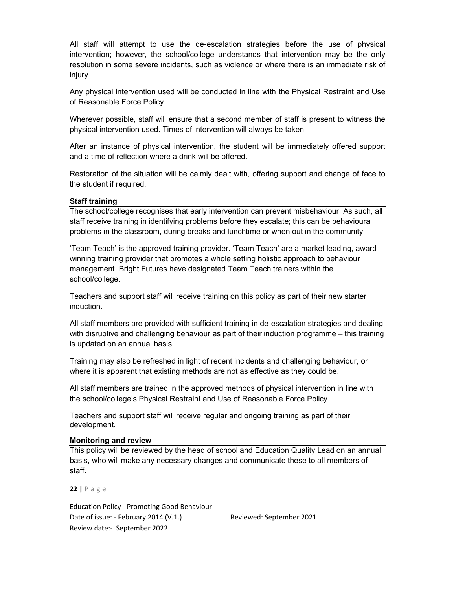All staff will attempt to use the de-escalation strategies before the use of physical intervention; however, the school/college understands that intervention may be the only resolution in some severe incidents, such as violence or where there is an immediate risk of injury.

Any physical intervention used will be conducted in line with the Physical Restraint and Use of Reasonable Force Policy.

Wherever possible, staff will ensure that a second member of staff is present to witness the physical intervention used. Times of intervention will always be taken.

After an instance of physical intervention, the student will be immediately offered support and a time of reflection where a drink will be offered.

Restoration of the situation will be calmly dealt with, offering support and change of face to the student if required.

# Staff training

The school/college recognises that early intervention can prevent misbehaviour. As such, all staff receive training in identifying problems before they escalate; this can be behavioural problems in the classroom, during breaks and lunchtime or when out in the community.

'Team Teach' is the approved training provider. 'Team Teach' are a market leading, awardwinning training provider that promotes a whole setting holistic approach to behaviour management. Bright Futures have designated Team Teach trainers within the school/college.

Teachers and support staff will receive training on this policy as part of their new starter induction.

All staff members are provided with sufficient training in de-escalation strategies and dealing with disruptive and challenging behaviour as part of their induction programme – this training is updated on an annual basis.

Training may also be refreshed in light of recent incidents and challenging behaviour, or where it is apparent that existing methods are not as effective as they could be.

All staff members are trained in the approved methods of physical intervention in line with the school/college's Physical Restraint and Use of Reasonable Force Policy.

Teachers and support staff will receive regular and ongoing training as part of their development.

#### Monitoring and review

This policy will be reviewed by the head of school and Education Quality Lead on an annual basis, who will make any necessary changes and communicate these to all members of staff.

22 | P a g e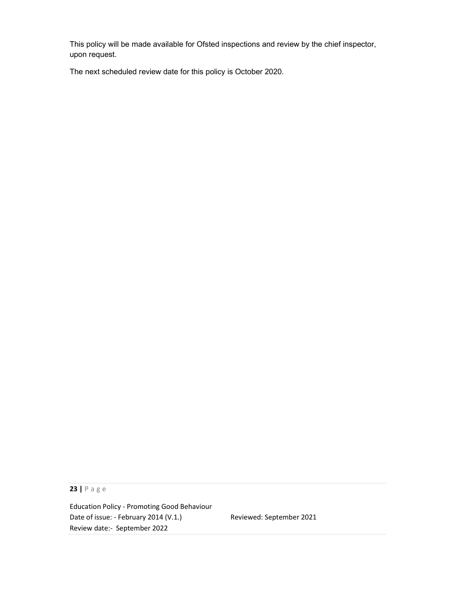This policy will be made available for Ofsted inspections and review by the chief inspector, upon request.

The next scheduled review date for this policy is October 2020.

23 | P a g e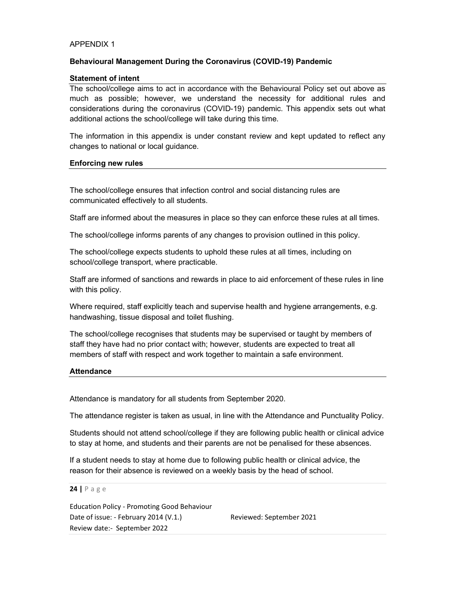#### APPENDIX 1

# Behavioural Management During the Coronavirus (COVID-19) Pandemic

#### Statement of intent

The school/college aims to act in accordance with the Behavioural Policy set out above as much as possible; however, we understand the necessity for additional rules and considerations during the coronavirus (COVID-19) pandemic. This appendix sets out what additional actions the school/college will take during this time.

The information in this appendix is under constant review and kept updated to reflect any changes to national or local guidance.

#### Enforcing new rules

The school/college ensures that infection control and social distancing rules are communicated effectively to all students.

Staff are informed about the measures in place so they can enforce these rules at all times.

The school/college informs parents of any changes to provision outlined in this policy.

The school/college expects students to uphold these rules at all times, including on school/college transport, where practicable.

Staff are informed of sanctions and rewards in place to aid enforcement of these rules in line with this policy.

Where required, staff explicitly teach and supervise health and hygiene arrangements, e.g. handwashing, tissue disposal and toilet flushing.

The school/college recognises that students may be supervised or taught by members of staff they have had no prior contact with; however, students are expected to treat all members of staff with respect and work together to maintain a safe environment.

#### **Attendance**

Attendance is mandatory for all students from September 2020.

The attendance register is taken as usual, in line with the Attendance and Punctuality Policy.

Students should not attend school/college if they are following public health or clinical advice to stay at home, and students and their parents are not be penalised for these absences.

If a student needs to stay at home due to following public health or clinical advice, the reason for their absence is reviewed on a weekly basis by the head of school.

#### 24 | P a g e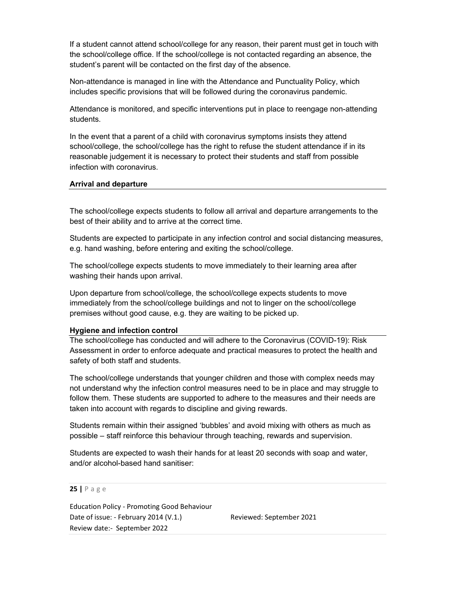If a student cannot attend school/college for any reason, their parent must get in touch with the school/college office. If the school/college is not contacted regarding an absence, the student's parent will be contacted on the first day of the absence.

Non-attendance is managed in line with the Attendance and Punctuality Policy, which includes specific provisions that will be followed during the coronavirus pandemic.

Attendance is monitored, and specific interventions put in place to reengage non-attending students.

In the event that a parent of a child with coronavirus symptoms insists they attend school/college, the school/college has the right to refuse the student attendance if in its reasonable judgement it is necessary to protect their students and staff from possible infection with coronavirus.

#### Arrival and departure

The school/college expects students to follow all arrival and departure arrangements to the best of their ability and to arrive at the correct time.

Students are expected to participate in any infection control and social distancing measures, e.g. hand washing, before entering and exiting the school/college.

The school/college expects students to move immediately to their learning area after washing their hands upon arrival.

Upon departure from school/college, the school/college expects students to move immediately from the school/college buildings and not to linger on the school/college premises without good cause, e.g. they are waiting to be picked up.

#### Hygiene and infection control

The school/college has conducted and will adhere to the Coronavirus (COVID-19): Risk Assessment in order to enforce adequate and practical measures to protect the health and safety of both staff and students.

The school/college understands that younger children and those with complex needs may not understand why the infection control measures need to be in place and may struggle to follow them. These students are supported to adhere to the measures and their needs are taken into account with regards to discipline and giving rewards.

Students remain within their assigned 'bubbles' and avoid mixing with others as much as possible – staff reinforce this behaviour through teaching, rewards and supervision.

Students are expected to wash their hands for at least 20 seconds with soap and water, and/or alcohol-based hand sanitiser:

#### 25 | P a g e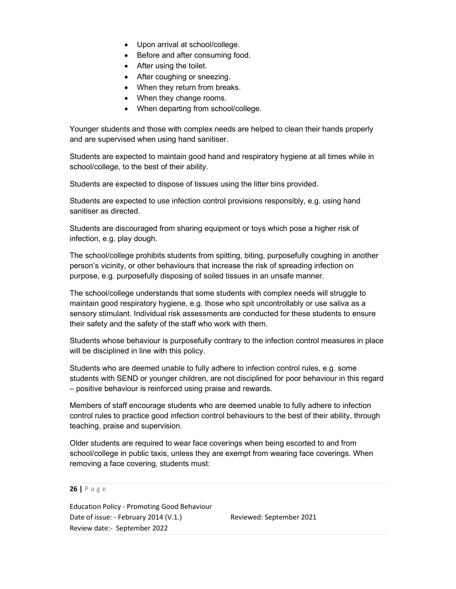- Upon arrival at school/college.
- Before and after consuming food.
- After using the toilet.
- After coughing or sneezing.
- When they return from breaks.
- When they change rooms.
- When departing from school/college.

Younger students and those with complex needs are helped to clean their hands properly and are supervised when using hand sanitiser.

Students are expected to maintain good hand and respiratory hygiene at all times while in school/college, to the best of their ability.

Students are expected to dispose of tissues using the litter bins provided.

Students are expected to use infection control provisions responsibly, e.g. using hand sanitiser as directed.

Students are discouraged from sharing equipment or toys which pose a higher risk of infection, e.g. play dough.

The school/college prohibits students from spitting, biting, purposefully coughing in another person's vicinity, or other behaviours that increase the risk of spreading infection on purpose, e.g. purposefully disposing of soiled tissues in an unsafe manner.

The school/college understands that some students with complex needs will struggle to maintain good respiratory hygiene, e.g. those who spit uncontrollably or use saliva as a sensory stimulant. Individual risk assessments are conducted for these students to ensure their safety and the safety of the staff who work with them.

Students whose behaviour is purposefully contrary to the infection control measures in place will be disciplined in line with this policy.

Students who are deemed unable to fully adhere to infection control rules, e.g. some students with SEND or younger children, are not disciplined for poor behaviour in this regard – positive behaviour is reinforced using praise and rewards.

Members of staff encourage students who are deemed unable to fully adhere to infection control rules to practice good infection control behaviours to the best of their ability, through teaching, praise and supervision.

Older students are required to wear face coverings when being escorted to and from school/college in public taxis, unless they are exempt from wearing face coverings. When removing a face covering, students must:

26 | P a g e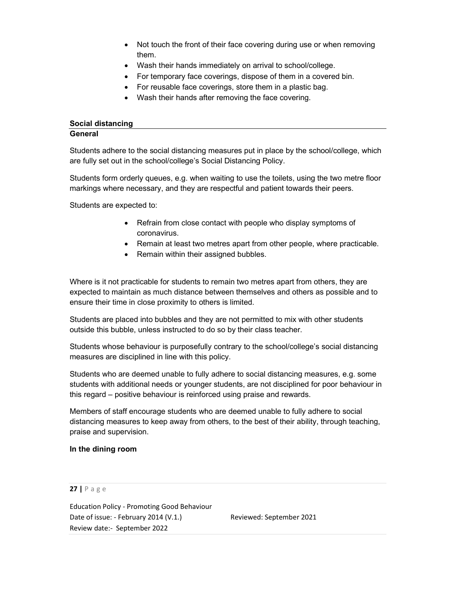- Not touch the front of their face covering during use or when removing them.
- Wash their hands immediately on arrival to school/college.
- For temporary face coverings, dispose of them in a covered bin.
- For reusable face coverings, store them in a plastic bag.
- Wash their hands after removing the face covering.

## Social distancing General

Students adhere to the social distancing measures put in place by the school/college, which are fully set out in the school/college's Social Distancing Policy.

Students form orderly queues, e.g. when waiting to use the toilets, using the two metre floor markings where necessary, and they are respectful and patient towards their peers.

Students are expected to:

- Refrain from close contact with people who display symptoms of coronavirus.
- Remain at least two metres apart from other people, where practicable.
- Remain within their assigned bubbles.

Where is it not practicable for students to remain two metres apart from others, they are expected to maintain as much distance between themselves and others as possible and to ensure their time in close proximity to others is limited.

Students are placed into bubbles and they are not permitted to mix with other students outside this bubble, unless instructed to do so by their class teacher.

Students whose behaviour is purposefully contrary to the school/college's social distancing measures are disciplined in line with this policy.

Students who are deemed unable to fully adhere to social distancing measures, e.g. some students with additional needs or younger students, are not disciplined for poor behaviour in this regard – positive behaviour is reinforced using praise and rewards.

Members of staff encourage students who are deemed unable to fully adhere to social distancing measures to keep away from others, to the best of their ability, through teaching, praise and supervision.

# In the dining room

# 27 | P a g e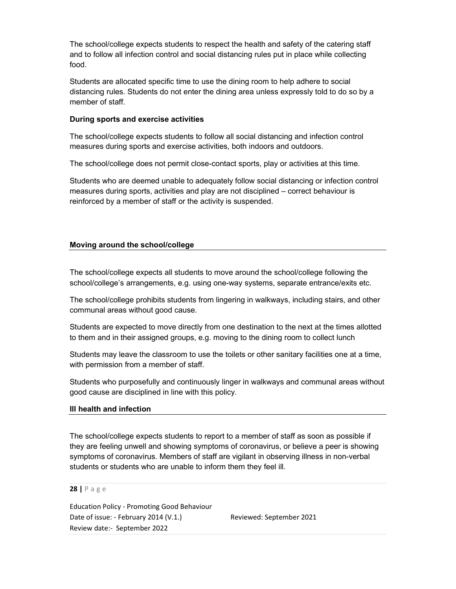The school/college expects students to respect the health and safety of the catering staff and to follow all infection control and social distancing rules put in place while collecting food.

Students are allocated specific time to use the dining room to help adhere to social distancing rules. Students do not enter the dining area unless expressly told to do so by a member of staff.

## During sports and exercise activities

The school/college expects students to follow all social distancing and infection control measures during sports and exercise activities, both indoors and outdoors.

The school/college does not permit close-contact sports, play or activities at this time.

Students who are deemed unable to adequately follow social distancing or infection control measures during sports, activities and play are not disciplined – correct behaviour is reinforced by a member of staff or the activity is suspended.

# Moving around the school/college

The school/college expects all students to move around the school/college following the school/college's arrangements, e.g. using one-way systems, separate entrance/exits etc.

The school/college prohibits students from lingering in walkways, including stairs, and other communal areas without good cause.

Students are expected to move directly from one destination to the next at the times allotted to them and in their assigned groups, e.g. moving to the dining room to collect lunch

Students may leave the classroom to use the toilets or other sanitary facilities one at a time, with permission from a member of staff.

Students who purposefully and continuously linger in walkways and communal areas without good cause are disciplined in line with this policy.

#### Ill health and infection

The school/college expects students to report to a member of staff as soon as possible if they are feeling unwell and showing symptoms of coronavirus, or believe a peer is showing symptoms of coronavirus. Members of staff are vigilant in observing illness in non-verbal students or students who are unable to inform them they feel ill.

28 | P a g e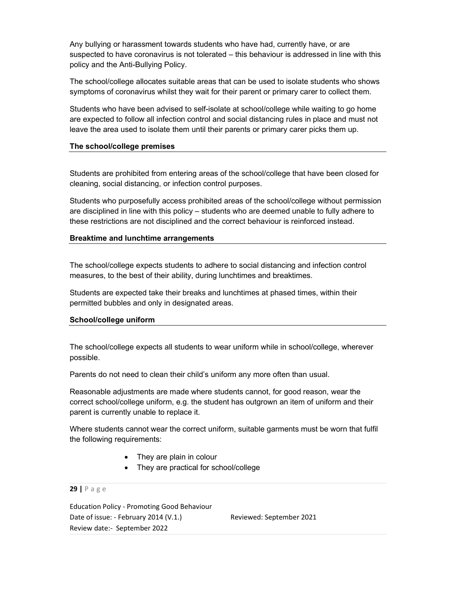Any bullying or harassment towards students who have had, currently have, or are suspected to have coronavirus is not tolerated – this behaviour is addressed in line with this policy and the Anti-Bullying Policy.

The school/college allocates suitable areas that can be used to isolate students who shows symptoms of coronavirus whilst they wait for their parent or primary carer to collect them.

Students who have been advised to self-isolate at school/college while waiting to go home are expected to follow all infection control and social distancing rules in place and must not leave the area used to isolate them until their parents or primary carer picks them up.

#### The school/college premises

Students are prohibited from entering areas of the school/college that have been closed for cleaning, social distancing, or infection control purposes.

Students who purposefully access prohibited areas of the school/college without permission are disciplined in line with this policy – students who are deemed unable to fully adhere to these restrictions are not disciplined and the correct behaviour is reinforced instead.

## Breaktime and lunchtime arrangements

The school/college expects students to adhere to social distancing and infection control measures, to the best of their ability, during lunchtimes and breaktimes.

Students are expected take their breaks and lunchtimes at phased times, within their permitted bubbles and only in designated areas.

#### School/college uniform

The school/college expects all students to wear uniform while in school/college, wherever possible.

Parents do not need to clean their child's uniform any more often than usual.

Reasonable adjustments are made where students cannot, for good reason, wear the correct school/college uniform, e.g. the student has outgrown an item of uniform and their parent is currently unable to replace it.

Where students cannot wear the correct uniform, suitable garments must be worn that fulfil the following requirements:

- They are plain in colour
- They are practical for school/college

## 29 | P a g e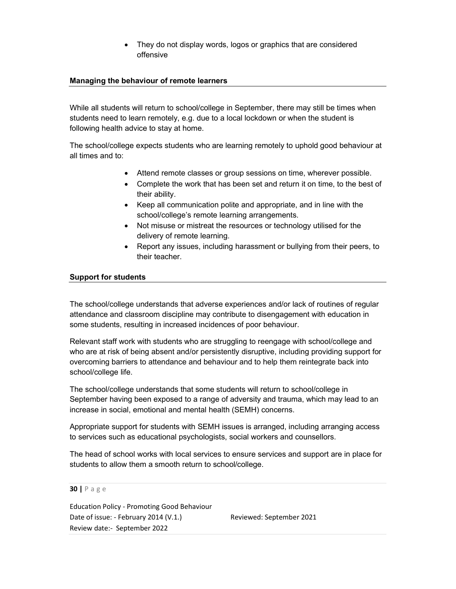They do not display words, logos or graphics that are considered offensive

## Managing the behaviour of remote learners

While all students will return to school/college in September, there may still be times when students need to learn remotely, e.g. due to a local lockdown or when the student is following health advice to stay at home.

The school/college expects students who are learning remotely to uphold good behaviour at all times and to:

- Attend remote classes or group sessions on time, wherever possible.
- Complete the work that has been set and return it on time, to the best of their ability.
- Keep all communication polite and appropriate, and in line with the school/college's remote learning arrangements.
- Not misuse or mistreat the resources or technology utilised for the delivery of remote learning.
- Report any issues, including harassment or bullying from their peers, to their teacher.

## Support for students

The school/college understands that adverse experiences and/or lack of routines of regular attendance and classroom discipline may contribute to disengagement with education in some students, resulting in increased incidences of poor behaviour.

Relevant staff work with students who are struggling to reengage with school/college and who are at risk of being absent and/or persistently disruptive, including providing support for overcoming barriers to attendance and behaviour and to help them reintegrate back into school/college life.

The school/college understands that some students will return to school/college in September having been exposed to a range of adversity and trauma, which may lead to an increase in social, emotional and mental health (SEMH) concerns.

Appropriate support for students with SEMH issues is arranged, including arranging access to services such as educational psychologists, social workers and counsellors.

The head of school works with local services to ensure services and support are in place for students to allow them a smooth return to school/college.

#### 30 | P a g e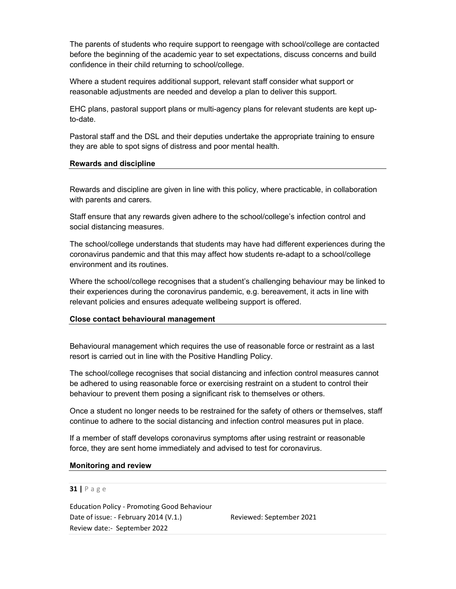The parents of students who require support to reengage with school/college are contacted before the beginning of the academic year to set expectations, discuss concerns and build confidence in their child returning to school/college.

Where a student requires additional support, relevant staff consider what support or reasonable adjustments are needed and develop a plan to deliver this support.

EHC plans, pastoral support plans or multi-agency plans for relevant students are kept upto-date.

Pastoral staff and the DSL and their deputies undertake the appropriate training to ensure they are able to spot signs of distress and poor mental health.

## Rewards and discipline

Rewards and discipline are given in line with this policy, where practicable, in collaboration with parents and carers.

Staff ensure that any rewards given adhere to the school/college's infection control and social distancing measures.

The school/college understands that students may have had different experiences during the coronavirus pandemic and that this may affect how students re-adapt to a school/college environment and its routines.

Where the school/college recognises that a student's challenging behaviour may be linked to their experiences during the coronavirus pandemic, e.g. bereavement, it acts in line with relevant policies and ensures adequate wellbeing support is offered.

#### Close contact behavioural management

Behavioural management which requires the use of reasonable force or restraint as a last resort is carried out in line with the Positive Handling Policy.

The school/college recognises that social distancing and infection control measures cannot be adhered to using reasonable force or exercising restraint on a student to control their behaviour to prevent them posing a significant risk to themselves or others.

Once a student no longer needs to be restrained for the safety of others or themselves, staff continue to adhere to the social distancing and infection control measures put in place.

If a member of staff develops coronavirus symptoms after using restraint or reasonable force, they are sent home immediately and advised to test for coronavirus.

#### Monitoring and review

#### 31 | P a g e